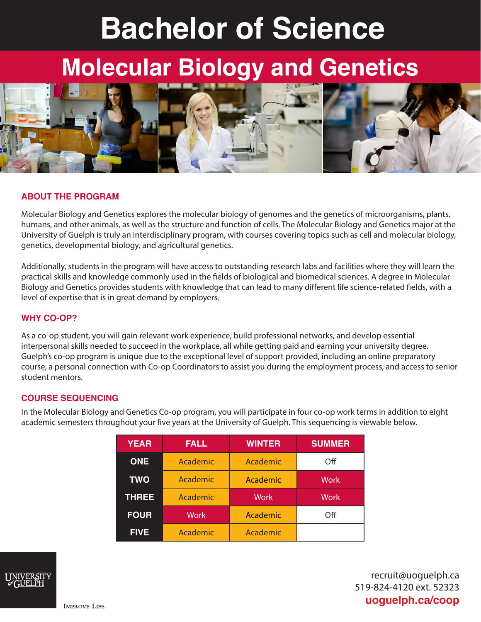# **Bachelor of Science**

## **Molecular Biology and Genetics**



#### **ABOUT THE PROGRAM**

Molecular Biology and Genetics explores the molecular biology of genomes and the genetics of microorganisms, plants, humans, and other animals, as well as the structure and function of cells. The Molecular Biology and Genetics major at the University of Guelph is truly an interdisciplinary program, with courses covering topics such as cell and molecular biology, genetics, developmental biology, and agricultural genetics.

Additionally, students in the program will have access to outstanding research labs and facilities where they will learn the practical skills and knowledge commonly used in the fields of biological and biomedical sciences. A degree in Molecular Biology and Genetics provides students with knowledge that can lead to many different life science-related fields, with a level of expertise that is in great demand by employers.

#### **WHY CO-OP?**

As a co-op student, you will gain relevant work experience, build professional networks, and develop essential interpersonal skills needed to succeed in the workplace, all while getting paid and earning your university degree. Guelph's co-op program is unique due to the exceptional level of support provided, including an online preparatory course, a personal connection with Co-op Coordinators to assist you during the employment process, and access to senior student mentors.

#### **COURSE SEQUENCING**

In the Molecular Biology and Genetics Co-op program, you will participate in four co-op work terms in addition to eight academic semesters throughout your five years at the University of Guelph. This sequencing is viewable below.

| <b>YEAR</b>  | <b>FALL</b> | <b>WINTER</b> | <b>SUMMER</b> |
|--------------|-------------|---------------|---------------|
| <b>ONE</b>   | Academic    | Academic      | Off           |
| <b>TWO</b>   | Academic    | Academic      | <b>Work</b>   |
| <b>THREE</b> | Academic    | <b>Work</b>   | <b>Work</b>   |
| <b>FOUR</b>  | <b>Work</b> | Academic      | Off           |
| <b>FIVE</b>  | Academic    | Academic      |               |



recruit@uoguelph.ca 519-824-4120 ext. 52323 **uoguelph.ca/coop**